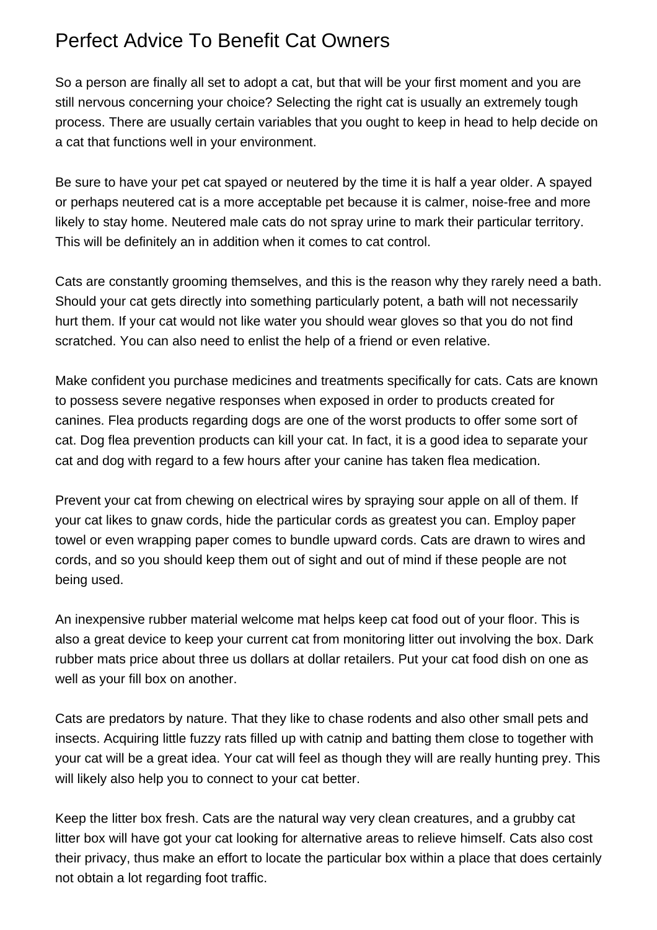## Perfect Advice To Benefit Cat Owners

So a person are finally all set to adopt a cat, but that will be your first moment and you are still nervous concerning your choice? Selecting the right cat is usually an extremely tough process. There are usually certain variables that you ought to keep in head to help decide on a cat that functions well in your environment.

Be sure to have your pet cat spayed or neutered by the time it is half a year older. A spayed or perhaps neutered cat is a more acceptable pet because it is calmer, noise-free and more likely to stay home. Neutered male cats do not spray urine to mark their particular territory. This will be definitely an in addition when it comes to cat control.

Cats are constantly grooming themselves, and this is the reason why they rarely need a bath. Should your cat gets directly into something particularly potent, a bath will not necessarily hurt them. If your cat would not like water you should wear gloves so that you do not find scratched. You can also need to enlist the help of a friend or even relative.

Make confident you purchase medicines and treatments specifically for cats. Cats are known to possess severe negative responses when exposed in order to products created for canines. Flea products regarding dogs are one of the worst products to offer some sort of cat. Dog flea prevention products can kill your cat. In fact, it is a good idea to separate your cat and dog with regard to a few hours after your canine has taken flea medication.

Prevent your cat from chewing on electrical wires by spraying sour apple on all of them. If your cat likes to gnaw cords, hide the particular cords as greatest you can. Employ paper towel or even wrapping paper comes to bundle upward cords. Cats are drawn to wires and cords, and so you should keep them out of sight and out of mind if these people are not being used.

An inexpensive rubber material welcome mat helps keep cat food out of your floor. This is also a great device to keep your current cat from monitoring litter out involving the box. Dark rubber mats price about three us dollars at dollar retailers. Put your cat food dish on one as well as your fill box on another.

Cats are predators by nature. That they like to chase rodents and also other small pets and insects. Acquiring little fuzzy rats filled up with catnip and batting them close to together with your cat will be a great idea. Your cat will feel as though they will are really hunting prey. This will likely also help you to connect to your cat better.

Keep the litter box fresh. Cats are the natural way very clean creatures, and a grubby cat litter box will have got your cat looking for alternative areas to relieve himself. Cats also cost their privacy, thus make an effort to locate the particular box within a place that does certainly not obtain a lot regarding foot traffic.